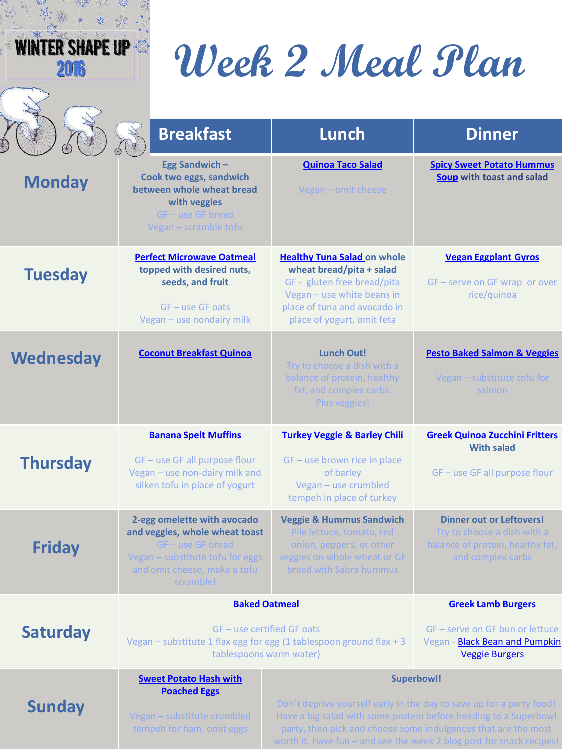| H | K<br>₩ |  |
|---|--------|--|
|   |        |  |
|   |        |  |

# **Week 2 Meal Plan**

|                  | <b>Breakfast</b>                                                                                                                                                      | Lunch                                                                                                                                                                                                                                                                                                   | <b>Dinner</b>                                                                                                           |
|------------------|-----------------------------------------------------------------------------------------------------------------------------------------------------------------------|---------------------------------------------------------------------------------------------------------------------------------------------------------------------------------------------------------------------------------------------------------------------------------------------------------|-------------------------------------------------------------------------------------------------------------------------|
| <b>Monday</b>    | Egg Sandwich-<br>Cook two eggs, sandwich<br>between whole wheat bread<br>with veggies<br>$GF - use GF bread$<br>Vegan - scramble tofu                                 | <b>Quinoa Taco Salad</b><br>Vegan - omit cheese                                                                                                                                                                                                                                                         | <b>Spicy Sweet Potato Hummus</b><br>Soup with toast and salad                                                           |
| <b>Tuesday</b>   | <b>Perfect Microwave Oatmeal</b><br>topped with desired nuts,<br>seeds, and fruit<br>$GF - use GF oats$<br>Vegan - use nondairy milk                                  | <b>Healthy Tuna Salad on whole</b><br>wheat bread/pita + salad<br>GF - gluten free bread/pita<br>Vegan - use white beans in<br>place of tuna and avocado in<br>place of yogurt, omit feta                                                                                                               | <b>Vegan Eggplant Gyros</b><br>GF - serve on GF wrap or over<br>rice/quinoa                                             |
| <b>Wednesday</b> | <b>Coconut Breakfast Quinoa</b>                                                                                                                                       | <b>Lunch Out!</b><br>Try to choose a dish with a<br>balance of protein, healthy<br>fat, and complex carbs.<br>Plus veggies!                                                                                                                                                                             | <b>Pesto Baked Salmon &amp; Veggies</b><br>Vegan - substitute tofu for<br>salmon                                        |
| <b>Thursday</b>  | <b>Banana Spelt Muffins</b><br>GF - use GF all purpose flour<br>Vegan - use non-dairy milk and<br>silken tofu in place of yogurt                                      | <b>Turkey Veggie &amp; Barley Chili</b><br>GF - use brown rice in place<br>of barley<br>Vegan - use crumbled<br>tempeh in place of turkey                                                                                                                                                               | <b>Greek Quinoa Zucchini Fritters</b><br><b>With salad</b><br>GF - use GF all purpose flour                             |
| <b>Friday</b>    | 2-egg omelette with avocado<br>and veggies, whole wheat toast<br>$GF - use GF bread$<br>Vegan - substitute tofu for eggs<br>and omit cheese, make a tofu<br>scramble! | <b>Veggie &amp; Hummus Sandwich</b><br>Pile lettuce, tomato, red<br>onion, peppers, or other<br>veggies on whole wheat or GF<br>bread with Sabra hummus                                                                                                                                                 | <b>Dinner out or Leftovers!</b><br>Try to choose a dish with a<br>balance of protein, healthy fat,<br>and complex carbs |
| <b>Saturday</b>  | <b>Baked Oatmeal</b><br>GF - use certified GF oats<br>Vegan - substitute 1 flax egg for egg (1 tablespoon ground flax + 3<br>tablespoons warm water)                  |                                                                                                                                                                                                                                                                                                         | <b>Greek Lamb Burgers</b><br>GF - serve on GF bun or lettuce<br>Vegan - Black Bean and Pumpkin<br><b>Veggie Burgers</b> |
| <b>Sunday</b>    | <b>Sweet Potato Hash with</b><br><b>Poached Eggs</b><br>Vegan - substitute crumbled<br>tempeh for ham, omit eggs                                                      | <b>Superbowl!</b><br>Don't deprive yourself early in the day to save up for a party food!<br>Have a big salad with some protein before heading to a Superbowl<br>party, then pick and choose some indulgences that are the most<br>worth it. Have fun - and see the week 2 blog post for snack recipes! |                                                                                                                         |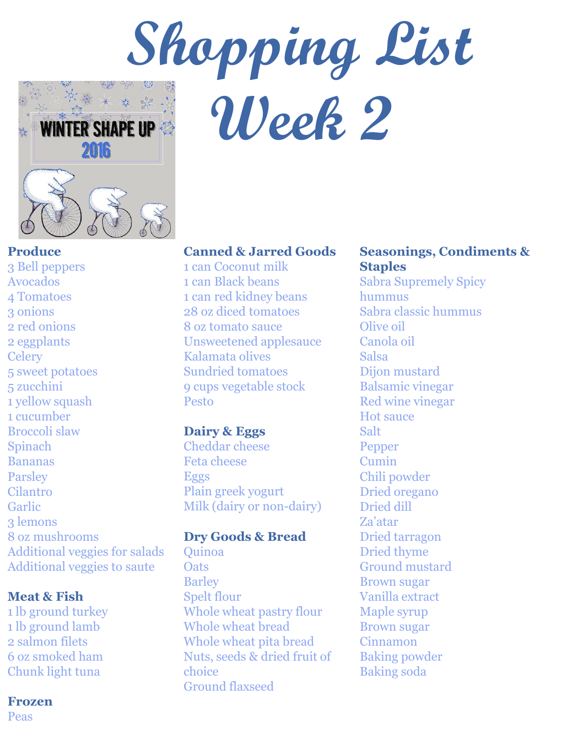

**Produce** 

3 Bell peppers Avocados 4 Tomatoes 3 onions 2 red onions 2 eggplants **Celery** 5 sweet potatoes 5 zucchini 1 yellow squash 1 cucumber Broccoli slaw Spinach Bananas **Parsley** Cilantro Garlic 3 lemons 8 oz mushrooms Additional veggies for salads Additional veggies to saute

## **Meat & Fish**

1 lb ground turkey 1 lb ground lamb 2 salmon filets 6 oz smoked ham Chunk light tuna

#### **Frozen**

Peas

# **Canned & Jarred Goods**

**Week 2** 

1 can Coconut milk 1 can Black beans 1 can red kidney beans 28 oz diced tomatoes 8 oz tomato sauce Unsweetened applesauce Kalamata olives Sundried tomatoes 9 cups vegetable stock Pesto

#### **Dairy & Eggs**

Cheddar cheese Feta cheese Eggs Plain greek yogurt Milk (dairy or non-dairy)

#### **Dry Goods & Bread**

Quinoa **Oats** Barley Spelt flour Whole wheat pastry flour Whole wheat bread Whole wheat pita bread Nuts, seeds & dried fruit of choice Ground flaxseed

# **Seasonings, Condiments & Staples**

Sabra Supremely Spicy hummus Sabra classic hummus Olive oil Canola oil Salsa Dijon mustard Balsamic vinegar Red wine vinegar Hot sauce Salt Pepper Cumin Chili powder Dried oregano Dried dill Za'atar Dried tarragon Dried thyme Ground mustard Brown sugar Vanilla extract Maple syrup Brown sugar Cinnamon Baking powder Baking soda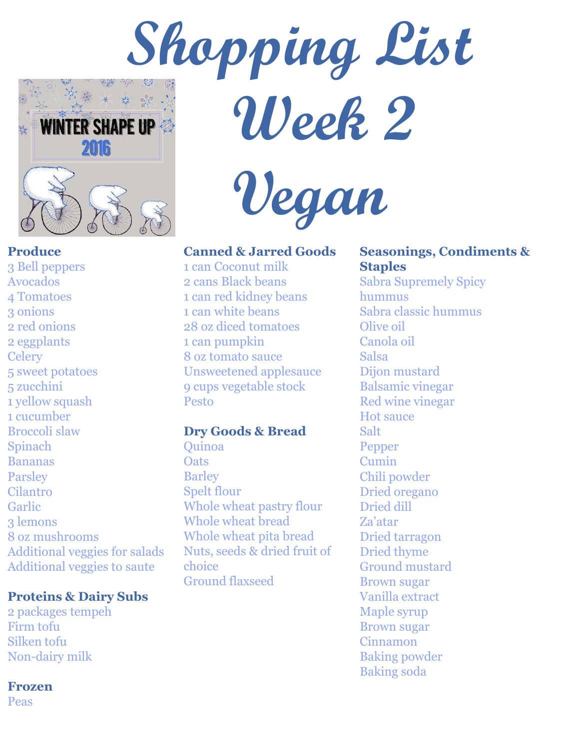

**Produce** 

3 Bell peppers Avocados 4 Tomatoes 3 onions 2 red onions 2 eggplants **Celery** 5 sweet potatoes 5 zucchini 1 yellow squash 1 cucumber Broccoli slaw Spinach Bananas **Parsley** Cilantro Garlic 3 lemons 8 oz mushrooms Additional veggies for salads Additional veggies to saute

# **Proteins & Dairy Subs**

2 packages tempeh Firm tofu Silken tofu Non-dairy milk

## **Frozen**

Peas

 **Vegan** 

 **Week 2** 

**Canned & Jarred Goods**

1 can Coconut milk 2 cans Black beans 1 can red kidney beans 1 can white beans 28 oz diced tomatoes 1 can pumpkin 8 oz tomato sauce Unsweetened applesauce 9 cups vegetable stock Pesto

# **Dry Goods & Bread**

Quinoa **Oats Barley** Spelt flour Whole wheat pastry flour Whole wheat bread Whole wheat pita bread Nuts, seeds & dried fruit of choice Ground flaxseed

# **Seasonings, Condiments & Staples**

Sabra Supremely Spicy hummus Sabra classic hummus Olive oil Canola oil Salsa Dijon mustard Balsamic vinegar Red wine vinegar Hot sauce Salt Pepper Cumin Chili powder Dried oregano Dried dill Za'atar Dried tarragon Dried thyme Ground mustard Brown sugar Vanilla extract Maple syrup Brown sugar Cinnamon Baking powder Baking soda